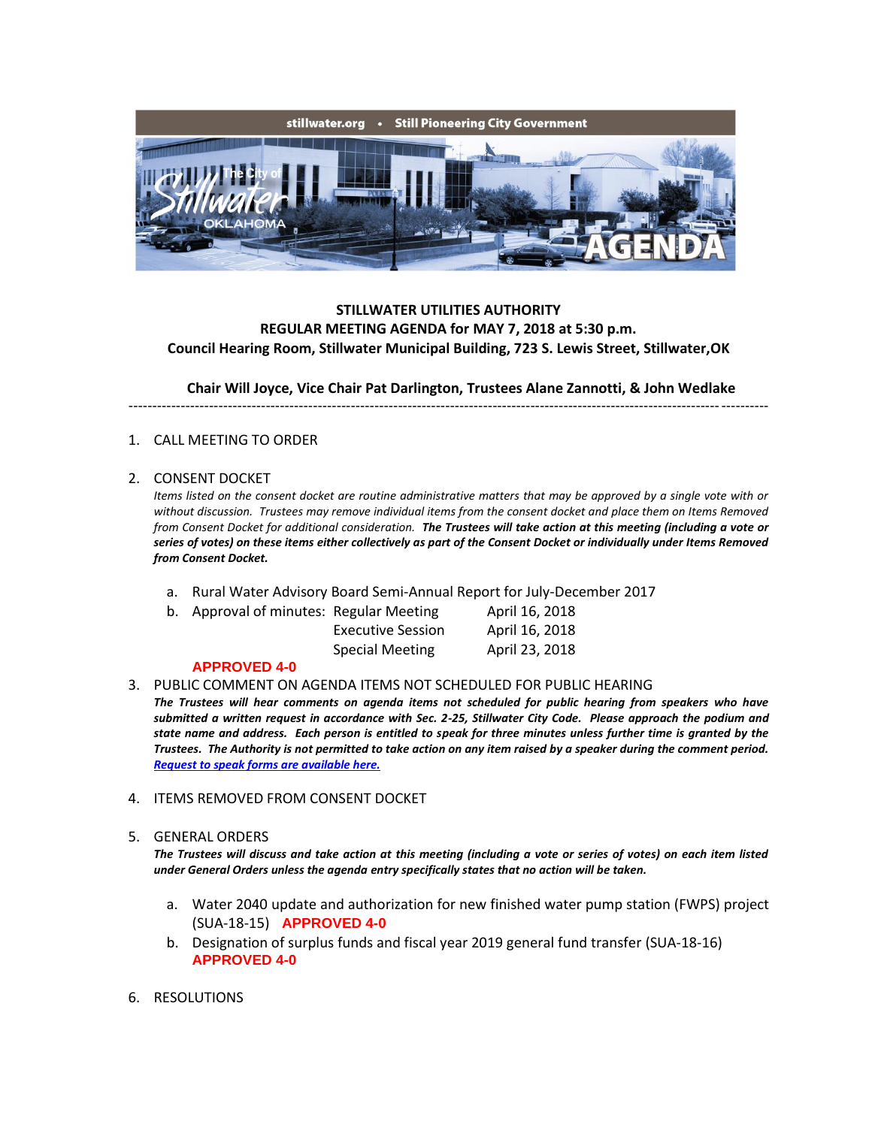

# **STILLWATER UTILITIES AUTHORITY REGULAR MEETING AGENDA for MAY 7, 2018 at 5:30 p.m. Council Hearing Room, Stillwater Municipal Building, 723 S. Lewis Street, Stillwater,OK**

**Chair Will Joyce, Vice Chair Pat Darlington, Trustees Alane Zannotti, & John Wedlake**

---------------------------------------------------------------------------------------------------------------------------------------

## 1. CALL MEETING TO ORDER

### 2. CONSENT DOCKET

*Items listed on the consent docket are routine administrative matters that may be approved by a single vote with or without discussion. Trustees may remove individual items from the consent docket and place them on Items Removed from Consent Docket for additional consideration. The Trustees will take action at this meeting (including a vote or series of votes) on these items either collectively as part of the Consent Docket or individually under Items Removed from Consent Docket.*

- a. Rural Water Advisory Board Semi-Annual Report for July-December 2017
- b. Approval of minutes: Regular Meeting April 16, 2018

| <b>Executive Sessic</b> |
|-------------------------|
| <b>Special Meeting</b>  |

Executive Session April 16, 2018 April 23, 2018

### **APPROVED 4-0**

3. PUBLIC COMMENT ON AGENDA ITEMS NOT SCHEDULED FOR PUBLIC HEARING

*The Trustees will hear comments on agenda items not scheduled for public hearing from speakers who have submitted a written request in accordance with Sec. 2-25, Stillwater City Code. Please approach the podium and state name and address. Each person is entitled to speak for three minutes unless further time is granted by the Trustees. The Authority is not permitted to take action on any item raised by a speaker during the comment period. [Request to speak forms are available here.](http://stillwater.org/document/request_to_speak_at_city_council.php)*

4. ITEMS REMOVED FROM CONSENT DOCKET

### 5. GENERAL ORDERS

*The Trustees will discuss and take action at this meeting (including a vote or series of votes) on each item listed under General Orders unless the agenda entry specifically states that no action will be taken.*

- a. Water 2040 update and authorization for new finished water pump station (FWPS) project (SUA-18-15) **APPROVED 4-0**
- b. Designation of surplus funds and fiscal year 2019 general fund transfer (SUA-18-16) **APPROVED 4-0**
- 6. RESOLUTIONS